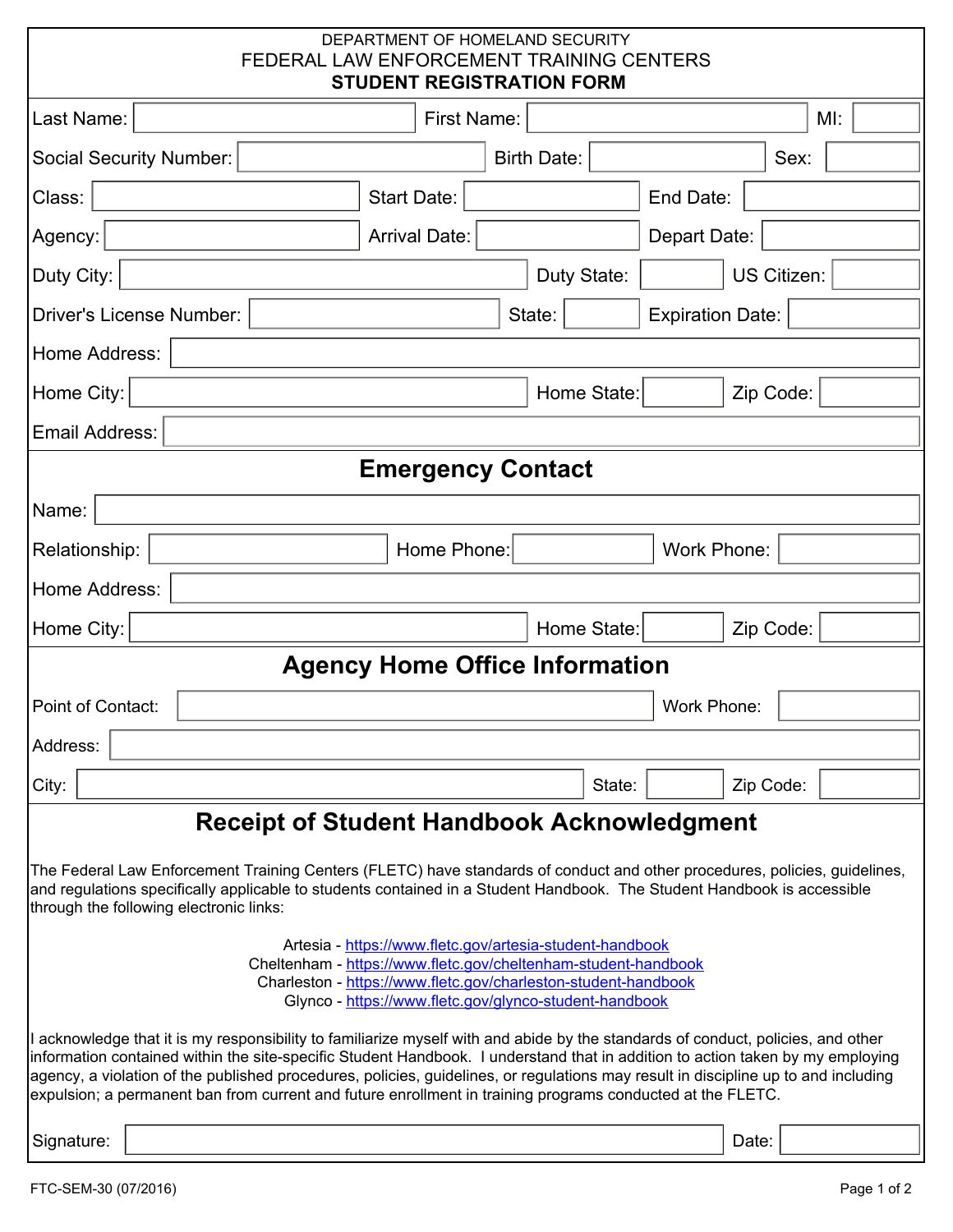| DEPARTMENT OF HOMELAND SECURITY<br>FEDERAL LAW ENFORCEMENT TRAINING CENTERS<br><b>STUDENT REGISTRATION FORM</b>                                                                                                                                                                                                                                                                                                                                                                                                        |                      |             |  |                    |                         |                    |      |                      |  |
|------------------------------------------------------------------------------------------------------------------------------------------------------------------------------------------------------------------------------------------------------------------------------------------------------------------------------------------------------------------------------------------------------------------------------------------------------------------------------------------------------------------------|----------------------|-------------|--|--------------------|-------------------------|--------------------|------|----------------------|--|
| Last Name:                                                                                                                                                                                                                                                                                                                                                                                                                                                                                                             | <b>First Name:</b>   |             |  |                    |                         |                    |      | $M!$ :               |  |
| <b>Social Security Number:</b>                                                                                                                                                                                                                                                                                                                                                                                                                                                                                         | <b>Birth Date:</b>   |             |  |                    |                         |                    | Sex: | $\blacktriangledown$ |  |
| Class:                                                                                                                                                                                                                                                                                                                                                                                                                                                                                                                 | Start Date:          |             |  |                    | End Date:               |                    |      |                      |  |
| Agency:                                                                                                                                                                                                                                                                                                                                                                                                                                                                                                                | <b>Arrival Date:</b> |             |  |                    | Depart Date:            |                    |      |                      |  |
| Duty City:                                                                                                                                                                                                                                                                                                                                                                                                                                                                                                             | Duty State:          |             |  |                    |                         | <b>US Citizen:</b> |      |                      |  |
| <b>Driver's License Number:</b>                                                                                                                                                                                                                                                                                                                                                                                                                                                                                        | State:               |             |  |                    | <b>Expiration Date:</b> |                    |      |                      |  |
| Home Address:                                                                                                                                                                                                                                                                                                                                                                                                                                                                                                          |                      |             |  |                    |                         |                    |      |                      |  |
| Home City:                                                                                                                                                                                                                                                                                                                                                                                                                                                                                                             | Home State:          |             |  |                    | Zip Code:               |                    |      |                      |  |
| Email Address:                                                                                                                                                                                                                                                                                                                                                                                                                                                                                                         |                      |             |  |                    |                         |                    |      |                      |  |
| <b>Emergency Contact</b>                                                                                                                                                                                                                                                                                                                                                                                                                                                                                               |                      |             |  |                    |                         |                    |      |                      |  |
| Name:                                                                                                                                                                                                                                                                                                                                                                                                                                                                                                                  |                      |             |  |                    |                         |                    |      |                      |  |
| Home Phone:<br>Relationship:                                                                                                                                                                                                                                                                                                                                                                                                                                                                                           |                      |             |  | <b>Work Phone:</b> |                         |                    |      |                      |  |
| Home Address:                                                                                                                                                                                                                                                                                                                                                                                                                                                                                                          |                      |             |  |                    |                         |                    |      |                      |  |
| Home City:                                                                                                                                                                                                                                                                                                                                                                                                                                                                                                             |                      | Home State: |  |                    | Zip Code:               |                    |      |                      |  |
| <b>Agency Home Office Information</b>                                                                                                                                                                                                                                                                                                                                                                                                                                                                                  |                      |             |  |                    |                         |                    |      |                      |  |
| Point of Contact:                                                                                                                                                                                                                                                                                                                                                                                                                                                                                                      |                      |             |  |                    | Work Phone:             |                    |      |                      |  |
| Address:                                                                                                                                                                                                                                                                                                                                                                                                                                                                                                               |                      |             |  |                    |                         |                    |      |                      |  |
| City:                                                                                                                                                                                                                                                                                                                                                                                                                                                                                                                  |                      |             |  | State:             |                         | Zip Code:          |      |                      |  |
| <b>Receipt of Student Handbook Acknowledgment</b>                                                                                                                                                                                                                                                                                                                                                                                                                                                                      |                      |             |  |                    |                         |                    |      |                      |  |
| The Federal Law Enforcement Training Centers (FLETC) have standards of conduct and other procedures, policies, guidelines,<br>and regulations specifically applicable to students contained in a Student Handbook. The Student Handbook is accessible<br>through the following electronic links:                                                                                                                                                                                                                       |                      |             |  |                    |                         |                    |      |                      |  |
| Artesia - https://www.fletc.gov/artesia-student-handbook<br>Cheltenham - https://www.fletc.gov/cheltenham-student-handbook<br>Charleston - https://www.fletc.gov/charleston-student-handbook<br>Glynco - https://www.fletc.gov/glynco-student-handbook                                                                                                                                                                                                                                                                 |                      |             |  |                    |                         |                    |      |                      |  |
| I acknowledge that it is my responsibility to familiarize myself with and abide by the standards of conduct, policies, and other<br>information contained within the site-specific Student Handbook. I understand that in addition to action taken by my employing<br>agency, a violation of the published procedures, policies, guidelines, or regulations may result in discipline up to and including<br>expulsion; a permanent ban from current and future enrollment in training programs conducted at the FLETC. |                      |             |  |                    |                         |                    |      |                      |  |
| Signature:                                                                                                                                                                                                                                                                                                                                                                                                                                                                                                             |                      |             |  |                    |                         | Date:              |      |                      |  |